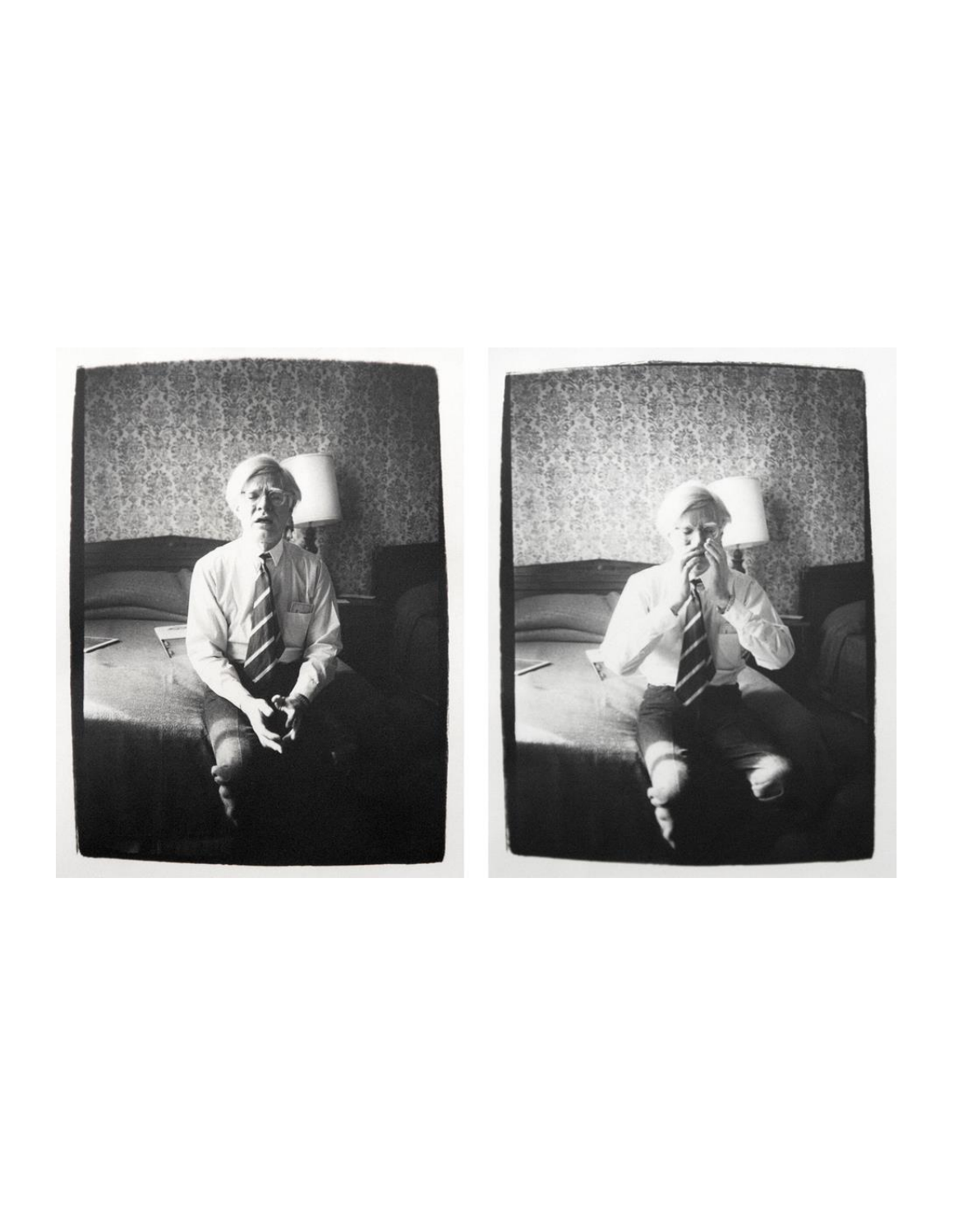

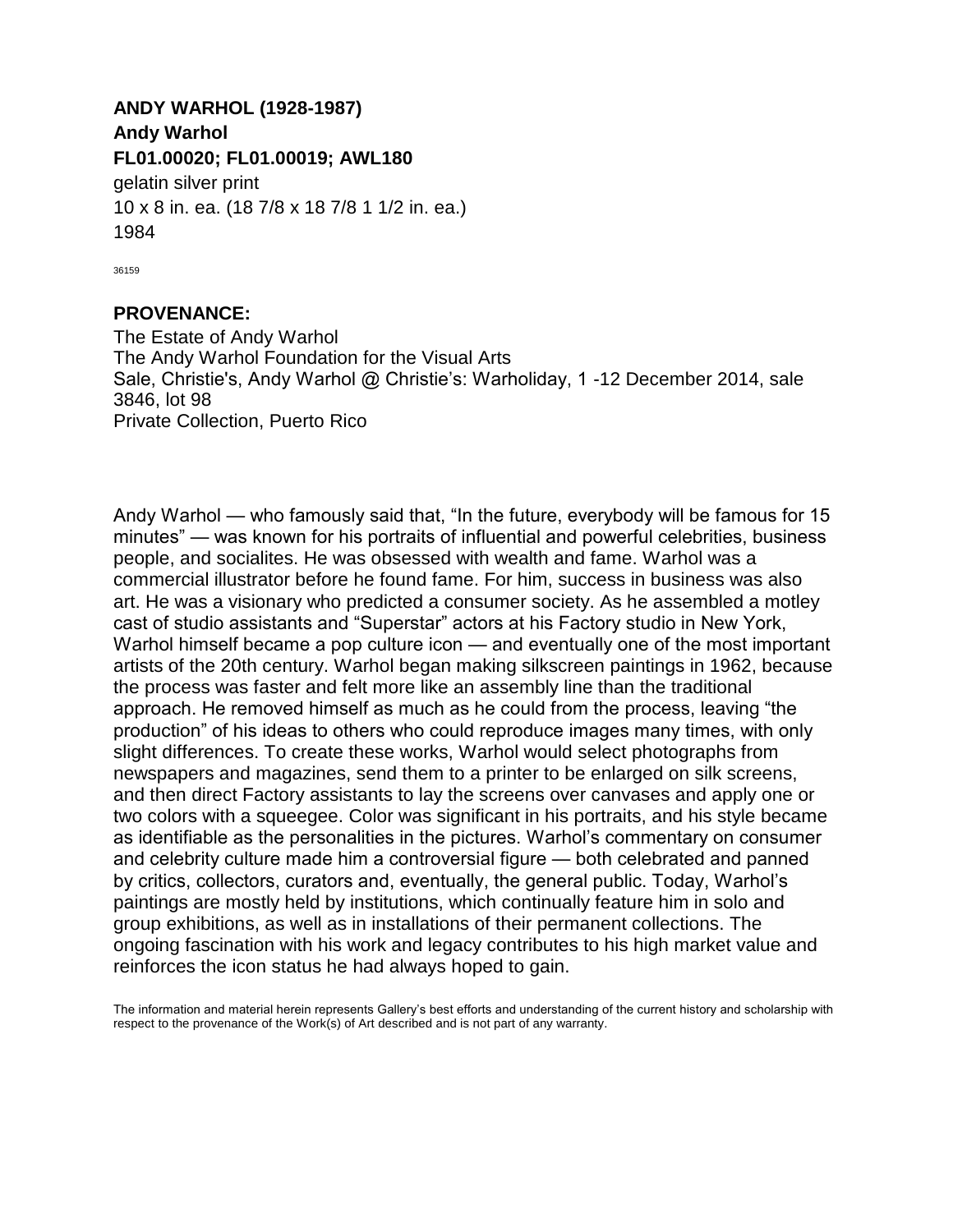## 1984 10 x 8 in. ea. (18 7/8 x 18 7/8 1 1/2 in. ea.) gelatin silver print **Andy Warhol ANDY WARHOL (1928-1987) FL01.00020; FL01.00019; AWL180**

36159

## **PROVENANCE:**

The Estate of Andy Warhol The Andy Warhol Foundation for the Visual Arts Sale, Christie's, Andy Warhol @ Christie's: Warholiday, 1 -12 December 2014, sale 3846, lot 98 Private Collection, Puerto Rico

Andy Warhol — who famously said that, "In the future, everybody will be famous for 15 minutes" — was known for his portraits of influential and powerful celebrities, business people, and socialites. He was obsessed with wealth and fame. Warhol was a commercial illustrator before he found fame. For him, success in business was also art. He was a visionary who predicted a consumer society. As he assembled a motley cast of studio assistants and "Superstar" actors at his Factory studio in New York, Warhol himself became a pop culture icon — and eventually one of the most important artists of the 20th century. Warhol began making silkscreen paintings in 1962, because the process was faster and felt more like an assembly line than the traditional approach. He removed himself as much as he could from the process, leaving "the production" of his ideas to others who could reproduce images many times, with only slight differences. To create these works, Warhol would select photographs from newspapers and magazines, send them to a printer to be enlarged on silk screens, and then direct Factory assistants to lay the screens over canvases and apply one or two colors with a squeegee. Color was significant in his portraits, and his style became as identifiable as the personalities in the pictures. Warhol's commentary on consumer and celebrity culture made him a controversial figure — both celebrated and panned by critics, collectors, curators and, eventually, the general public. Today, Warhol's paintings are mostly held by institutions, which continually feature him in solo and group exhibitions, as well as in installations of their permanent collections. The ongoing fascination with his work and legacy contributes to his high market value and reinforces the icon status he had always hoped to gain.

The information and material herein represents Gallery's best efforts and understanding of the current history and scholarship with respect to the provenance of the Work(s) of Art described and is not part of any warranty.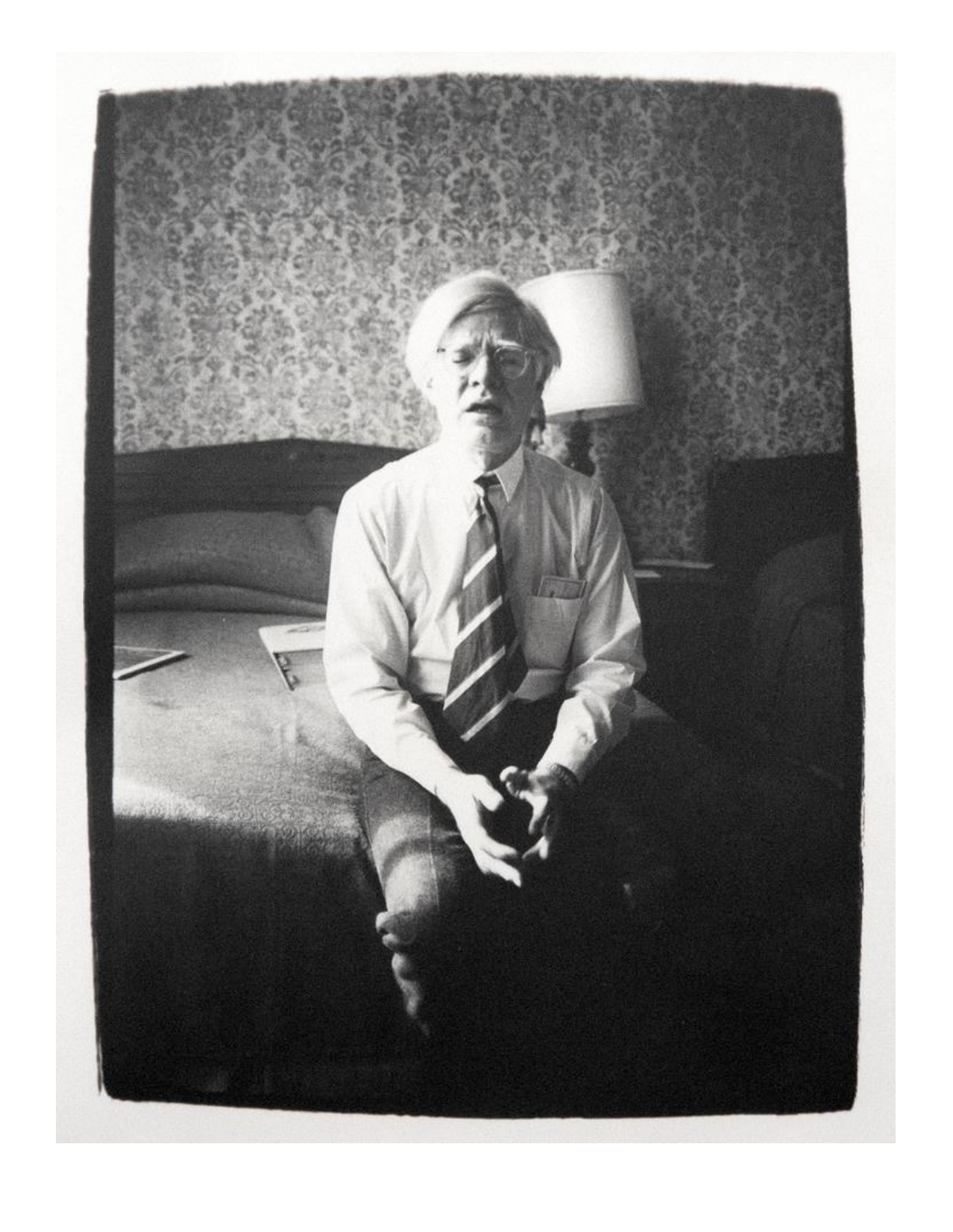